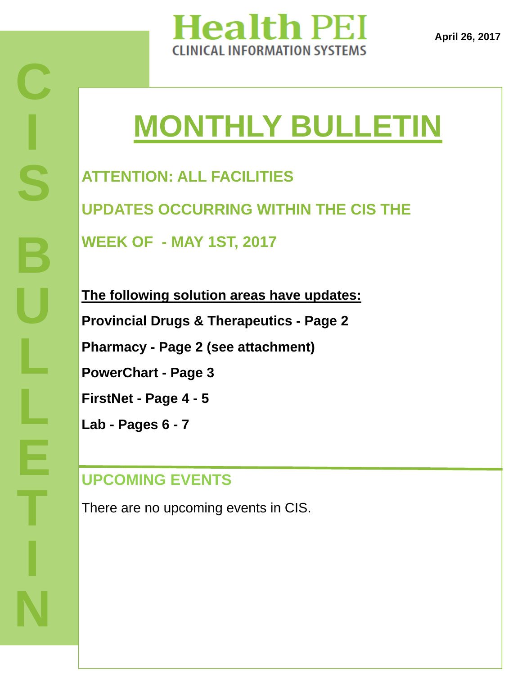

**April 26, 2017** 

# **MONTHLY BULLETIN**

**ATTENTION: ALL FACILITIES UPDATES OCCURRING WITHIN THE CIS THE WEEK OF - MAY 1ST, 2017** 

**The following solution areas have updates: Provincial Drugs & Therapeutics - Page 2 Pharmacy - Page 2 (see attachment) PowerChart - Page 3 FirstNet - Page 4 - 5 Lab - Pages 6 - 7**

# **UPCOMING EVENTS**

There are no upcoming events in CIS.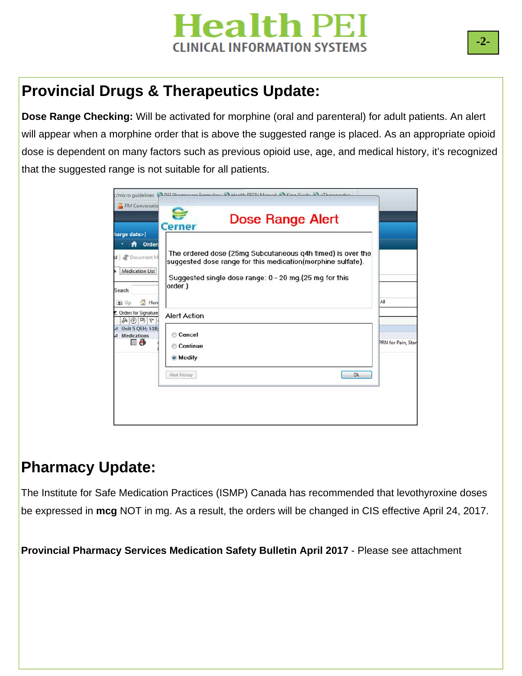## **Provincial Drugs & Therapeutics Update:**

**Dose Range Checking:** Will be activated for morphine (oral and parenteral) for adult patients. An alert will appear when a morphine order that is above the suggested range is placed. As an appropriate opioid dose is dependent on many factors such as previous opioid use, age, and medical history, it's recognized that the suggested range is not suitable for all patients.

| PM Conversatio                                                                                                          | Micro guidelines CAREL Dharmacare Cormulae CA Woalth RELIV Manual CA King Guide CA oTherapeutics                                                                                                |                    |
|-------------------------------------------------------------------------------------------------------------------------|-------------------------------------------------------------------------------------------------------------------------------------------------------------------------------------------------|--------------------|
|                                                                                                                         | Dose Range Alert<br><b>Cerner</b>                                                                                                                                                               |                    |
| harge date>]<br>A Order:<br><sup>2</sup> Document M<br>$\mathsf{d}$<br><b>Medication List</b><br>Search:<br>Hon<br>1 Up | The ordered dose (25mg Subcutaneous g4h timed) is over the<br>suggested dose range for this medication(morphine sulfate).<br>Suggested single dose range: 0 - 20 mg. (25 mg for this<br>order.) | All                |
| Drders for Signature<br>$\otimes$ 2 $\otimes$ $\otimes$<br>△ Unit 5 QEH: 518;<br><b>Medications</b><br>$\overline{A}$   | <b>Alert Action</b><br>Cancel                                                                                                                                                                   |                    |
| 10                                                                                                                      | Continue<br><b>O</b> Modify                                                                                                                                                                     | PRN for Pain, Star |
|                                                                                                                         | Alert History<br><b>Ok</b>                                                                                                                                                                      |                    |
|                                                                                                                         |                                                                                                                                                                                                 |                    |

#### **Pharmacy Update:**

<u>PLANNING ASSESSMENT I</u>

The Institute for Safe Medication Practices (ISMP) Canada has recommended that levothyroxine doses be expressed in **mcg** NOT in mg. As a result, the orders will be changed in CIS effective April 24, 2017.

**DOCUMENTATION C Provincial Pharmacy Services Medication Safety Bulletin April 2017** - Please see attachment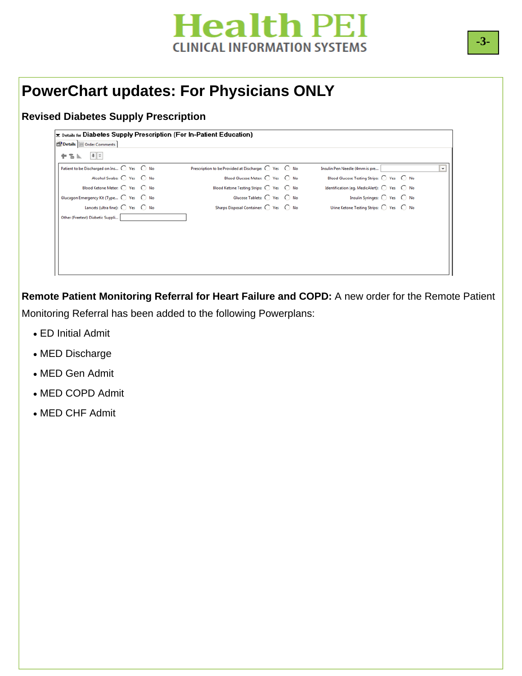## **PowerChart updates: For Physicians ONLY**

#### **Revised Diabetes Supply Prescription**

| $\equiv$ Details for Diabetes Supply Prescription (For In–Patient Education) |                                                      |                                                               |   |
|------------------------------------------------------------------------------|------------------------------------------------------|---------------------------------------------------------------|---|
| Details U Order Comments                                                     |                                                      |                                                               |   |
| $  \cdot  $ $  $ $  $<br>十名际                                                 |                                                      |                                                               |   |
| Patient to be Discharged on Ins 0 Yes 0 No                                   | Prescription to be Provided at Discharge: ○ Yes ○ No | Insulin Pen Needle (4mm is pre                                | v |
| Alcohol Swabs: C Yes C No                                                    | Blood Glucose Meter: 0 Yes 0 No                      | Blood Glucose Testing Strips: ( Yes ( No                      |   |
| Blood Ketone Meter: ○ Yes ○ No                                               | Blood Ketone Testing Strips: C Yes C No              | Identification (eq. MedicAlert): $\bigcirc$ Yes $\bigcirc$ No |   |
| Glucagon Emergency Kit (Type C Yes C No                                      | Glucose Tablets: O Yes O No                          | Insulin Syringes: 0 Yes 0 No                                  |   |
| Lancets (ultra fine): $\bigcirc$ Yes $\bigcirc$ No                           | Sharps Disposal Container: C Yes C No                | Urine Ketone Testing Strips: C Yes C No                       |   |
| Other (Freetext) Diabetic Suppli                                             |                                                      |                                                               |   |
|                                                                              |                                                      |                                                               |   |
|                                                                              |                                                      |                                                               |   |
|                                                                              |                                                      |                                                               |   |
|                                                                              |                                                      |                                                               |   |
|                                                                              |                                                      |                                                               |   |
|                                                                              |                                                      |                                                               |   |

**Remote Patient Monitoring Referral for Heart Failure and COPD:** A new order for the Remote Patient Monitoring Referral has been added to the following Powerplans:

- ED Initial Admit
- MED Discharge
- MED Gen Admit
- MED COPD Admit
- MED CHF Admit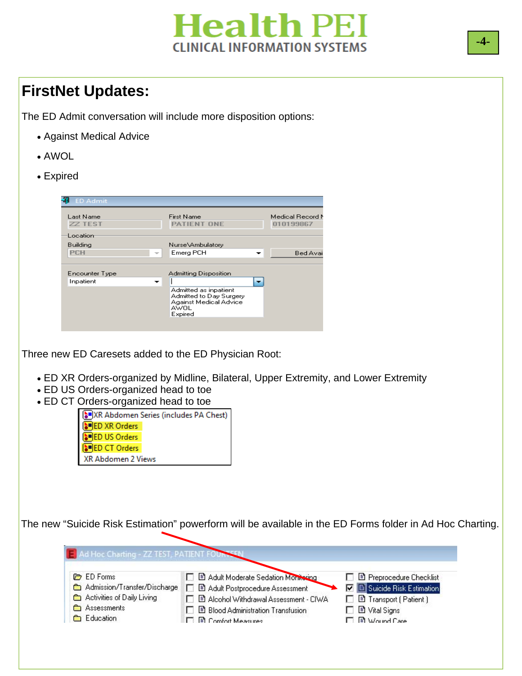## **FirstNet Updates:**

The ED Admit conversation will include more disposition options:

- Against Medical Advice
- AWOL
- Expired



Three new ED Caresets added to the ED Physician Root:

- ED XR Orders-organized by Midline, Bilateral, Upper Extremity, and Lower Extremity
- ED US Orders-organized head to toe
- ED CT Orders-organized head to toe

|                      | XR Abdomen Series (includes PA Chest) |
|----------------------|---------------------------------------|
| <b>DED XR Orders</b> |                                       |
| <b>DED US Orders</b> |                                       |
| <b>DED CT Orders</b> |                                       |
| XR Abdomen 2 Views   |                                       |

The new "Suicide Risk Estimation" powerform will be available in the ED Forms folder in Ad Hoc Charting.

| <b>C</b> ED Forms            | □ 固 Adult Moderate Sedation Monitoring   | □ □ Preprocedure Checklist         |
|------------------------------|------------------------------------------|------------------------------------|
| Admission/Transfer/Discharge | □ ■ Adult Postprocedure Assessment       | <b>V B</b> Suicide Risk Estimation |
| Activities of Daily Living   | □ ■ Alcohol Withdrawal Assessment - CIWA | □ □ Transport (Patient)            |
| Assessments<br>≏             | □ B Blood Administration Transfusion     | $\Box$ $\Box$ Vital Signs          |
| <b>Education</b>             | <b>FI B</b> Comfort Measures             | $\Box$ $\Box$ $Wound$ Care         |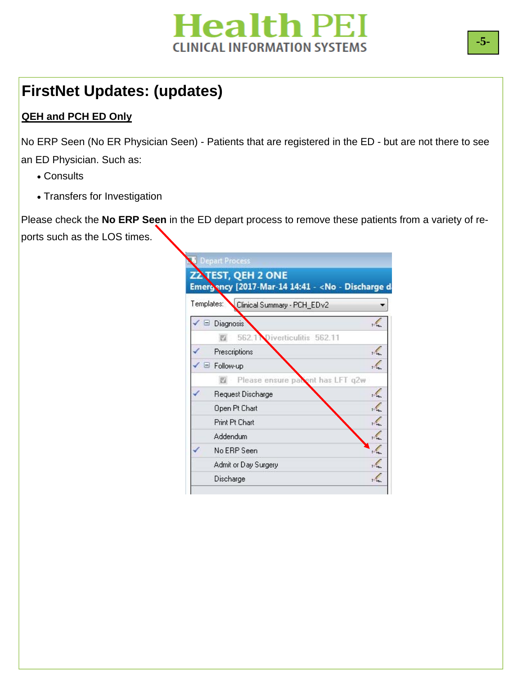

# **FirstNet Updates: (updates)**

#### **QEH and PCH ED Only**

No ERP Seen (No ER Physician Seen) - Patients that are registered in the ED - but are not there to see an ED Physician. Such as:

- Consults
- Transfers for Investigation

Please check the **No ERP Seen** in the ED depart process to remove these patients from a variety of reports such as the LOS times.

|   | Templates:<br>Clinical Summary - PCH_EDv2 |  |
|---|-------------------------------------------|--|
|   | Diagnosis<br>Ξ                            |  |
|   | 562.<br>Diverticulitis 562.11             |  |
|   | Prescriptions                             |  |
|   | Follow-up                                 |  |
|   | Please ensure parent has LFT q2w<br>E     |  |
| ✔ | Request Discharge                         |  |
|   | Open Pt Chart                             |  |
|   | Print Pt Chart                            |  |
|   | Addendum                                  |  |
|   | No ERP Seen                               |  |
|   | Admit or Day Surgery                      |  |
|   | Discharge                                 |  |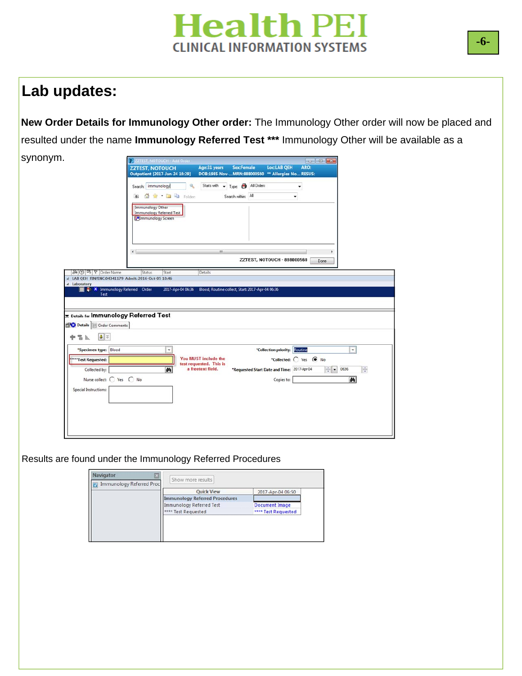## **Lab updates:**

synonym. **New Order Details for Immunology Other order:** The Immunology Other order will now be placed and resulted under the name **Immunology Referred Test \*\*\*** Immunology Other will be available as a

|                                                                           | P ZZTEST, NOTOUCH - Add Order                                              |                                                 |                                                                        |                               |                        |              |
|---------------------------------------------------------------------------|----------------------------------------------------------------------------|-------------------------------------------------|------------------------------------------------------------------------|-------------------------------|------------------------|--------------|
|                                                                           | <b>ZZTEST, NOTOUCH</b><br>Outpatient [2017-Jan-24 16:29]                   | Age:31 years                                    | <b>Sex:Female</b><br>DOB:1985-Nov-MRN:888000560 ** Allergies No RESUS: | <b>Loc:LAB QEH</b>            | ARO:                   |              |
|                                                                           | Search: immunology                                                         | $\mathbf{Q}_\mathrm{c}$                         | Starts with v Type: 8 All Orders                                       |                               | ٠                      |              |
|                                                                           | G R B G Folden<br><b>T</b>                                                 |                                                 | Search within: All                                                     | ٠                             |                        |              |
|                                                                           | Immunology Other<br>Immunology Referred Test<br><b>Salmmunology Screen</b> |                                                 |                                                                        |                               |                        |              |
|                                                                           | $\leftarrow$                                                               | $\mathbf{m}$                                    |                                                                        | ZZTEST, NOTOUCH - 888000560   | Done                   |              |
| 8(?) 吗 (?) Crder Name                                                     | Status<br>Start                                                            | Details                                         |                                                                        |                               |                        |              |
|                                                                           |                                                                            |                                                 |                                                                        |                               |                        |              |
|                                                                           |                                                                            |                                                 |                                                                        |                               |                        |              |
|                                                                           |                                                                            |                                                 |                                                                        |                               |                        |              |
| 4 Laboratory<br><b>NEW X</b> Immunology Referred Order<br>Test            |                                                                            | 2017-Apr-04 06:36                               | Blood, Routine collect, Start: 2017-Apr-04 06:36                       |                               |                        |              |
|                                                                           |                                                                            |                                                 |                                                                        |                               |                        |              |
|                                                                           |                                                                            |                                                 |                                                                        |                               |                        |              |
|                                                                           |                                                                            |                                                 |                                                                        |                               |                        |              |
|                                                                           |                                                                            |                                                 |                                                                        |                               |                        |              |
| △ LAB QEH FIN/ENC:04341179 Admit: 2016-Oct-05 10:46                       |                                                                            |                                                 |                                                                        |                               |                        |              |
|                                                                           |                                                                            |                                                 |                                                                        |                               |                        |              |
| $\vert \mathbf{0} \vert \times$<br>÷                                      |                                                                            |                                                 |                                                                        |                               |                        |              |
| $\frac{a}{b}$ like                                                        |                                                                            |                                                 |                                                                        |                               |                        |              |
| *Specimen type: Blood                                                     | ٠                                                                          |                                                 |                                                                        | *Collection priority: Routine |                        | $\checkmark$ |
| """Test Requested:                                                        |                                                                            | You MUST include the<br>test requested. This is |                                                                        |                               | *Collected: C Yes @ No |              |
| Collected by:                                                             | 两                                                                          | a freetext field.                               | *Requested Start Date and Time: 2017-Apr-04                            |                               | $\div$                 | ÷<br>0636    |
| Nurse collect: C Yes C No                                                 |                                                                            |                                                 |                                                                        | Copies to:                    |                        | 码            |
|                                                                           |                                                                            |                                                 |                                                                        |                               |                        |              |
| Special Instructions:                                                     |                                                                            |                                                 |                                                                        |                               |                        |              |
|                                                                           |                                                                            |                                                 |                                                                        |                               |                        |              |
| <b>E Details for Immunology Referred Test</b><br>Details   Order Comments |                                                                            |                                                 |                                                                        |                               |                        |              |
|                                                                           |                                                                            |                                                 |                                                                        |                               |                        |              |
|                                                                           |                                                                            |                                                 |                                                                        |                               |                        |              |
|                                                                           |                                                                            |                                                 |                                                                        |                               |                        |              |

Results are found under the Immunology Referred Procedures

| <b>Quick View</b>                     | 2017-Apr-04 06:50     |
|---------------------------------------|-----------------------|
| <b>Immunology Referred Procedures</b> |                       |
| Immunology Referred Test              | <b>Document Image</b> |
| <b>Test Requested</b>                 | **** Test Requested   |